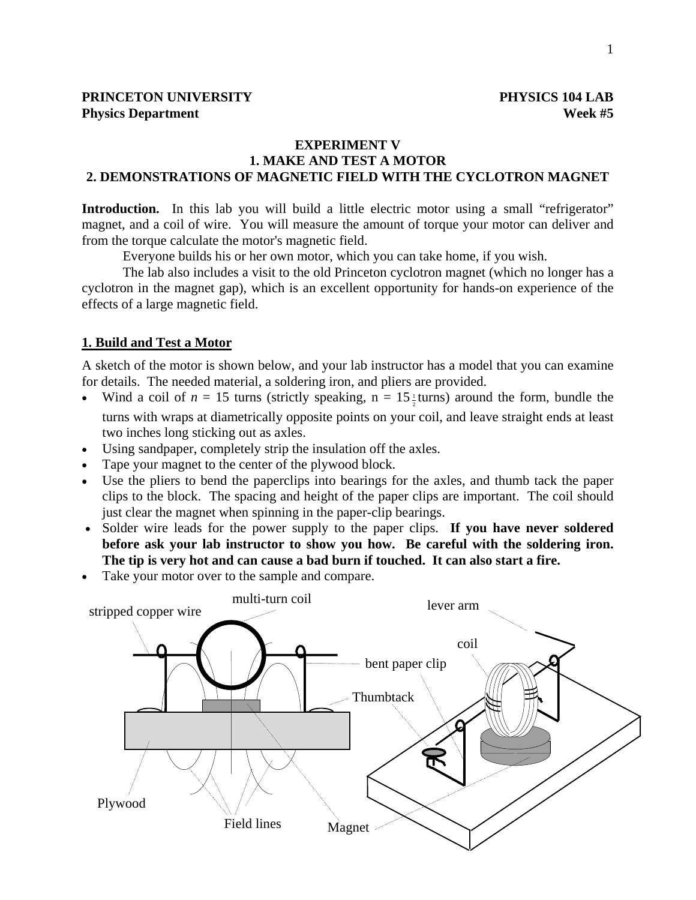#### **EXPERIMENT V**

## **1. MAKE AND TEST A MOTOR 2. DEMONSTRATIONS OF MAGNETIC FIELD WITH THE CYCLOTRON MAGNET**

**Introduction.** In this lab you will build a little electric motor using a small "refrigerator" magnet, and a coil of wire. You will measure the amount of torque your motor can deliver and from the torque calculate the motor's magnetic field.

Everyone builds his or her own motor, which you can take home, if you wish.

The lab also includes a visit to the old Princeton cyclotron magnet (which no longer has a cyclotron in the magnet gap), which is an excellent opportunity for hands-on experience of the effects of a large magnetic field.

#### **1. Build and Test a Motor**

A sketch of the motor is shown below, and your lab instructor has a model that you can examine for details. The needed material, a soldering iron, and pliers are provided.

- Wind a coil of  $n = 15$  turns (strictly speaking,  $n = 15\frac{1}{2}$  turns) around the form, bundle the turns with wraps at diametrically opposite points on your coil, and leave straight ends at least two inches long sticking out as axles.
- Using sandpaper, completely strip the insulation off the axles.
- Tape your magnet to the center of the plywood block.
- Use the pliers to bend the paperclips into bearings for the axles, and thumb tack the paper clips to the block. The spacing and height of the paper clips are important. The coil should just clear the magnet when spinning in the paper-clip bearings.
- Solder wire leads for the power supply to the paper clips. **If you have never soldered before ask your lab instructor to show you how. Be careful with the soldering iron. The tip is very hot and can cause a bad burn if touched. It can also start a fire.**
- Take your motor over to the sample and compare.

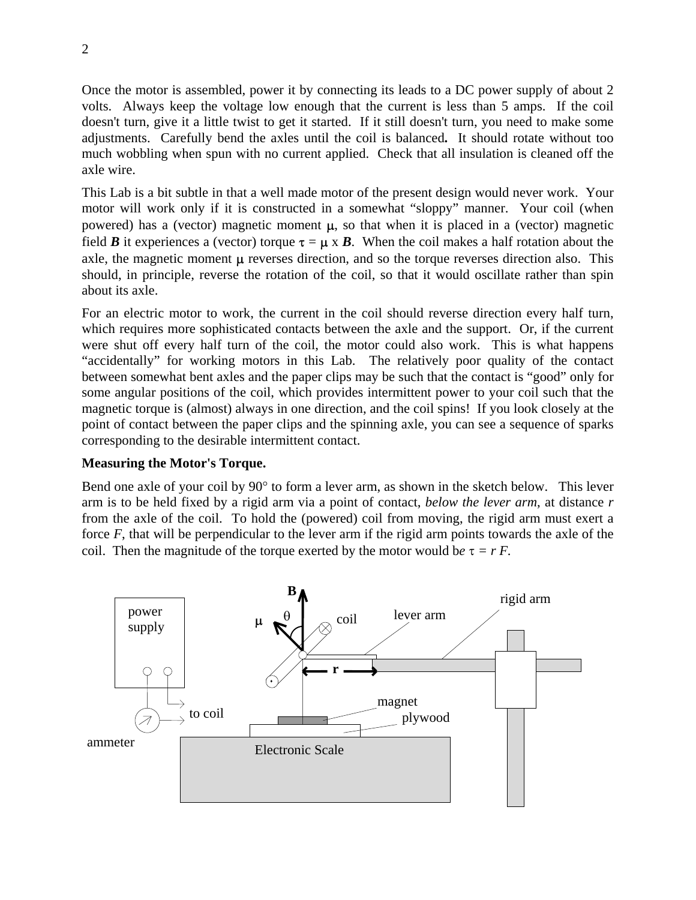Once the motor is assembled, power it by connecting its leads to a DC power supply of about 2 volts. Always keep the voltage low enough that the current is less than 5 amps. If the coil doesn't turn, give it a little twist to get it started. If it still doesn't turn, you need to make some adjustments. Carefully bend the axles until the coil is balanced**.** It should rotate without too much wobbling when spun with no current applied. Check that all insulation is cleaned off the axle wire.

This Lab is a bit subtle in that a well made motor of the present design would never work. Your motor will work only if it is constructed in a somewhat "sloppy" manner. Your coil (when powered) has a (vector) magnetic moment  $\mu$ , so that when it is placed in a (vector) magnetic field *B* it experiences a (vector) torque  $\tau = \mu \times B$ . When the coil makes a half rotation about the axle, the magnetic moment  $\mu$  reverses direction, and so the torque reverses direction also. This should, in principle, reverse the rotation of the coil, so that it would oscillate rather than spin about its axle.

For an electric motor to work, the current in the coil should reverse direction every half turn, which requires more sophisticated contacts between the axle and the support. Or, if the current were shut off every half turn of the coil, the motor could also work. This is what happens "accidentally" for working motors in this Lab. The relatively poor quality of the contact between somewhat bent axles and the paper clips may be such that the contact is "good" only for some angular positions of the coil, which provides intermittent power to your coil such that the magnetic torque is (almost) always in one direction, and the coil spins! If you look closely at the point of contact between the paper clips and the spinning axle, you can see a sequence of sparks corresponding to the desirable intermittent contact.

## **Measuring the Motor's Torque.**

Bend one axle of your coil by 90° to form a lever arm, as shown in the sketch below. This lever arm is to be held fixed by a rigid arm via a point of contact, *below the lever arm*, at distance *r* from the axle of the coil. To hold the (powered) coil from moving, the rigid arm must exert a force *F*, that will be perpendicular to the lever arm if the rigid arm points towards the axle of the coil. Then the magnitude of the torque exerted by the motor would be  $\tau = r F$ .

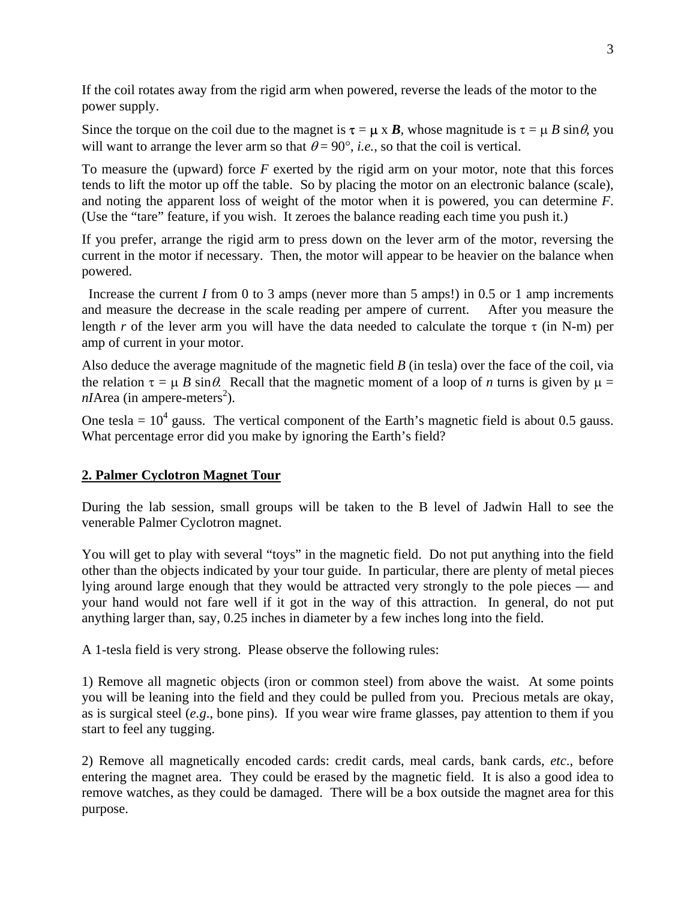If the coil rotates away from the rigid arm when powered, reverse the leads of the motor to the power supply.

Since the torque on the coil due to the magnet is  $\tau = \mu \times B$ , whose magnitude is  $\tau = \mu B \sin \theta$ , you will want to arrange the lever arm so that  $\theta = 90^{\circ}$ , *i.e.*, so that the coil is vertical.

To measure the (upward) force *F* exerted by the rigid arm on your motor, note that this forces tends to lift the motor up off the table. So by placing the motor on an electronic balance (scale), and noting the apparent loss of weight of the motor when it is powered, you can determine *F*. (Use the "tare" feature, if you wish. It zeroes the balance reading each time you push it.)

If you prefer, arrange the rigid arm to press down on the lever arm of the motor, reversing the current in the motor if necessary. Then, the motor will appear to be heavier on the balance when powered.

Increase the current *I* from 0 to 3 amps (never more than 5 amps!) in 0.5 or 1 amp increments and measure the decrease in the scale reading per ampere of current. After you measure the length *r* of the lever arm you will have the data needed to calculate the torque  $\tau$  (in N-m) per amp of current in your motor.

Also deduce the average magnitude of the magnetic field *B* (in tesla) over the face of the coil, via the relation  $\tau = \mu B \sin \theta$ . Recall that the magnetic moment of a loop of *n* turns is given by  $\mu =$  $nI$ Area (in ampere-meters<sup>2</sup>).

One tesla =  $10^4$  gauss. The vertical component of the Earth's magnetic field is about 0.5 gauss. What percentage error did you make by ignoring the Earth's field?

# **2. Palmer Cyclotron Magnet Tour**

During the lab session, small groups will be taken to the B level of Jadwin Hall to see the venerable Palmer Cyclotron magnet.

You will get to play with several "toys" in the magnetic field. Do not put anything into the field other than the objects indicated by your tour guide. In particular, there are plenty of metal pieces lying around large enough that they would be attracted very strongly to the pole pieces — and your hand would not fare well if it got in the way of this attraction. In general, do not put anything larger than, say, 0.25 inches in diameter by a few inches long into the field.

A 1-tesla field is very strong. Please observe the following rules:

1) Remove all magnetic objects (iron or common steel) from above the waist. At some points you will be leaning into the field and they could be pulled from you. Precious metals are okay, as is surgical steel (*e.g*., bone pins). If you wear wire frame glasses, pay attention to them if you start to feel any tugging.

2) Remove all magnetically encoded cards: credit cards, meal cards, bank cards, *etc*., before entering the magnet area. They could be erased by the magnetic field. It is also a good idea to remove watches, as they could be damaged. There will be a box outside the magnet area for this purpose.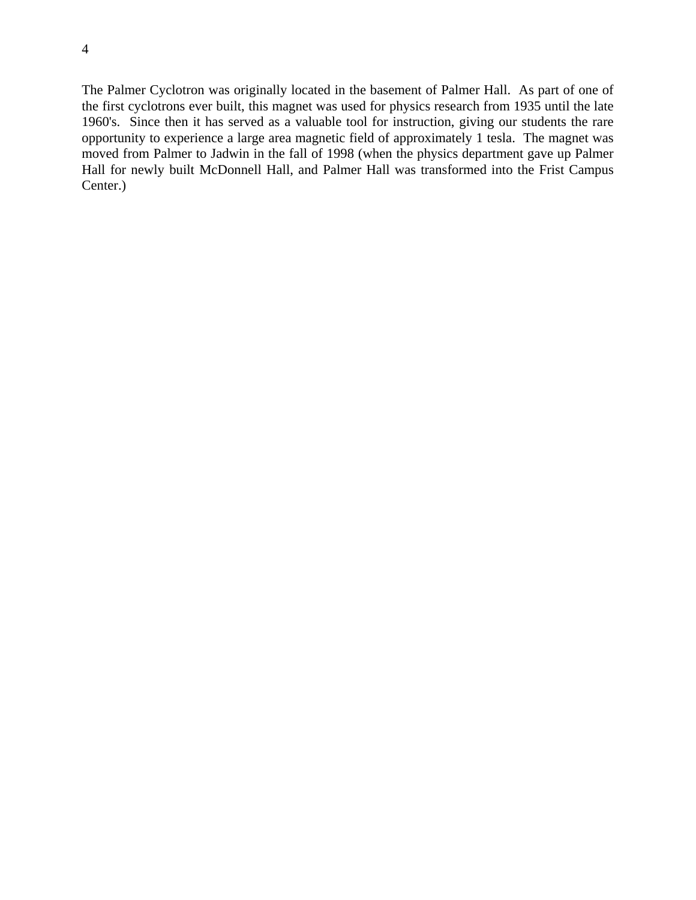The Palmer Cyclotron was originally located in the basement of Palmer Hall. As part of one of the first cyclotrons ever built, this magnet was used for physics research from 1935 until the late 1960's. Since then it has served as a valuable tool for instruction, giving our students the rare opportunity to experience a large area magnetic field of approximately 1 tesla. The magnet was moved from Palmer to Jadwin in the fall of 1998 (when the physics department gave up Palmer Hall for newly built McDonnell Hall, and Palmer Hall was transformed into the Frist Campus Center.)